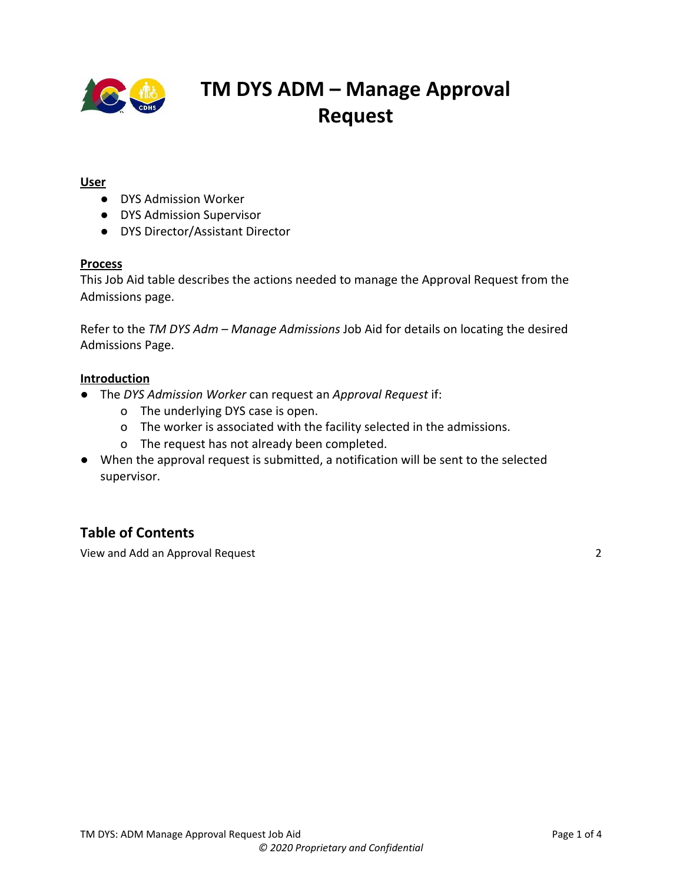

### **User**

- DYS Admission Worker
- DYS Admission Supervisor
- DYS Director/Assistant Director

#### **Process**

This Job Aid table describes the actions needed to manage the Approval Request from the Admissions page.

Refer to the *TM DYS Adm – Manage Admissions* Job Aid for details on locating the desired Admissions Page.

#### **Introduction**

- The *DYS Admission Worker* can request an *Approval Request* if:
	- o The underlying DYS case is open.
	- o The worker is associated with the facility selected in the admissions.
	- o The request has not already been completed.
- When the approval request is submitted, a notification will be sent to the selected supervisor.

## **Table of Contents**

View and Add an [Approval](#page-1-0) Request [2](#page-1-0)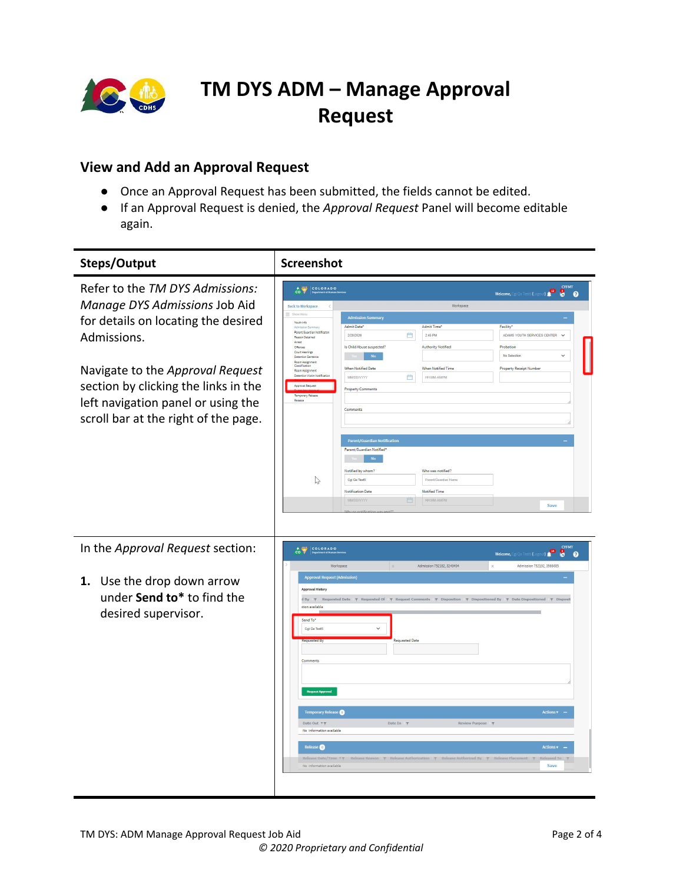

## <span id="page-1-0"></span>**View and Add an Approval Request**

- Once an Approval Request has been submitted, the fields cannot be edited.
- If an Approval Request is denied, the *Approval Request* Panel will become editable again.

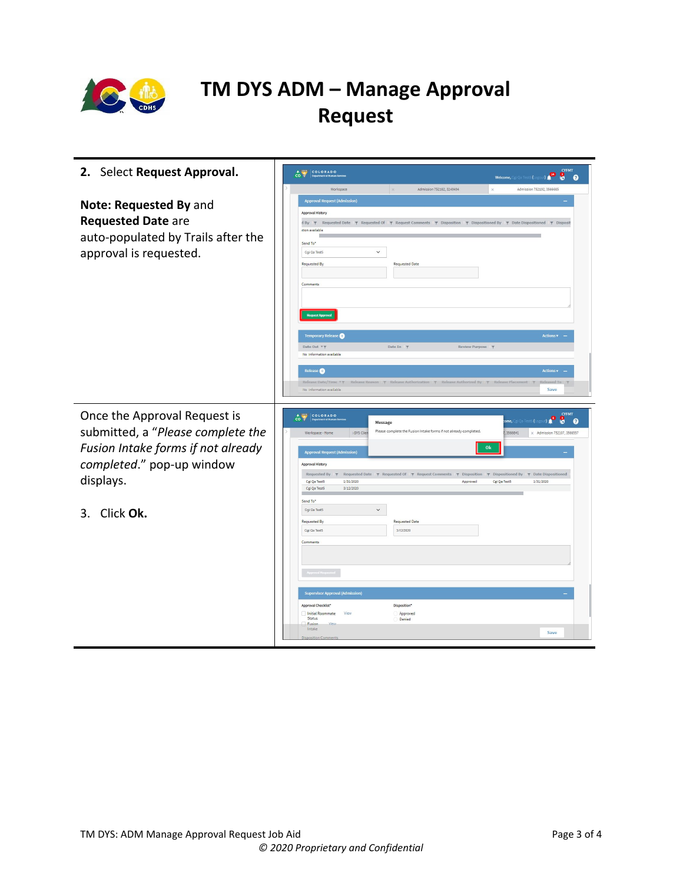

| 2. Select Request Approval.                                                                                         | <b>CYFMT</b><br>COLORADO<br>$\overline{c}$ $\overline{c}$                                                                                                                                                                                                                                                                                                                                                                                                                                                                                                                                                       |
|---------------------------------------------------------------------------------------------------------------------|-----------------------------------------------------------------------------------------------------------------------------------------------------------------------------------------------------------------------------------------------------------------------------------------------------------------------------------------------------------------------------------------------------------------------------------------------------------------------------------------------------------------------------------------------------------------------------------------------------------------|
|                                                                                                                     | Welcome, Cgi Qa Test5 (Logout) <b>49 8 8</b><br>Admission 752182, 3249494<br>Admission 752192, 3566685<br>Workspace<br>$\mathbb{R}$                                                                                                                                                                                                                                                                                                                                                                                                                                                                             |
| Note: Requested By and<br><b>Requested Date are</b><br>auto-populated by Trails after the<br>approval is requested. | <b>Approval Request (Admission)</b><br>Approval History<br>d By \ Requested Date \ Requested Of \ Request Comments \ P Disposition \ Dispositioned By \ P Date Dispositioned \ P Disposit<br>stion available<br>Send To*<br>$\checkmark$<br>Cgi Qa Test5<br>Requested By<br><b>Requested Date</b><br>Comments<br><b>Temporary Release</b><br><b>Actions</b>                                                                                                                                                                                                                                                     |
| Once the Approval Request is<br>submitted, a "Please complete the<br>Fusion Intake forms if not already             | Date Out <b>Y</b> T<br>Date In \<br>Review Purpose T<br>No information available<br>Release <sup>O</sup><br>$Action < \bullet$ -<br>Release Date/Time * Y Release Reason Y Release Authorization Y Release Authorized By Y Release Placement Y Released To Y<br>No information available<br>Save<br><b>CYFMT</b><br>COLORADO<br>$\mathcal{C}^{\mathbf{0}}$<br>8<br>$\boldsymbol{\theta}$<br>ome.<br>Message<br>Please complete the Fusion Intake forms if not already completed.<br>3566641<br><b>IDYS Clien</b><br>Workspace - Home<br>x Admission 752107 3566557<br>Ok<br><b>Approval Request (Admission)</b> |
| completed." pop-up window<br>displays.                                                                              | Approval History<br>Requested By $\overline{\tau}$<br>Requested Date $\forall$ Requested Of $\neg$ Request Comments $\neg$ Disposition $\neg$ Dispositioned By $\neg$ Date Dispositioned<br>Cgi Qa Test5<br>1/31/2020<br>Cgi Qa Test5<br>1/31/2020<br>Approved<br>Cgi Qa Test5<br>3/12/2020<br>Send To*                                                                                                                                                                                                                                                                                                         |
| Click Ok.<br>3.                                                                                                     | Cgi Qa Test5<br>$\checkmark$<br><b>Requested Date</b><br>Requested By<br>Cgi Qa Test5<br>3/12/2020<br>Comments<br><b>Supervisor Approval (Admission)</b><br>Approval Checklist*<br>Disposition*<br>Initial Roommate<br>Approved<br>View<br>Status<br>Denied<br>Eusion<br>Intake<br>Save<br><b>Disposition Comment</b>                                                                                                                                                                                                                                                                                           |